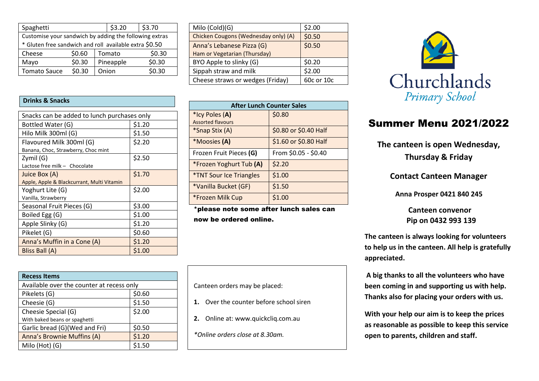| Spaghetti                                              |        |  | \$3.20    | \$3.70 |
|--------------------------------------------------------|--------|--|-----------|--------|
| Customise your sandwich by adding the following extras |        |  |           |        |
| * Gluten free sandwich and roll available extra \$0.50 |        |  |           |        |
| Cheese                                                 | \$0.60 |  | Tomato    | \$0.30 |
| Mayo                                                   | \$0.30 |  | Pineapple | \$0.30 |
| <b>Tomato Sauce</b>                                    | \$0.30 |  | Onion     | \$0.30 |

#### **Drinks & Snacks**

| Snacks can be added to lunch purchases only |        |  |  |
|---------------------------------------------|--------|--|--|
| Bottled Water (G)                           | \$1.20 |  |  |
| Hilo Milk 300ml (G)                         | \$1.50 |  |  |
| Flavoured Milk 300ml (G)                    | \$2.20 |  |  |
| Banana, Choc, Strawberry, Choc mint         |        |  |  |
| Zymil (G)                                   | \$2.50 |  |  |
| Lactose free milk - Chocolate               |        |  |  |
| Juice Box (A)                               | \$1.70 |  |  |
| Apple, Apple & Blackcurrant, Multi Vitamin  |        |  |  |
| Yoghurt Lite (G)                            | \$2.00 |  |  |
| Vanilla, Strawberry                         |        |  |  |
| Seasonal Fruit Pieces (G)                   | \$3.00 |  |  |
| Boiled Egg (G)                              | \$1.00 |  |  |
| Apple Slinky (G)                            | \$1.20 |  |  |
| Pikelet (G)                                 | \$0.60 |  |  |
| Anna's Muffin in a Cone (A)                 | \$1.20 |  |  |
| Bliss Ball (A)                              | \$1.00 |  |  |

| Milo (Cold)(G)                       | \$2.00     |
|--------------------------------------|------------|
| Chicken Cougons (Wednesday only) (A) | \$0.50     |
| Anna's Lebanese Pizza (G)            | \$0.50     |
| Ham or Vegetarian (Thursday)         |            |
| BYO Apple to slinky (G)              | \$0.20     |
| Sippah straw and milk                | \$2.00     |
| Cheese straws or wedges (Friday)     | 60c or 10c |

| <b>After Lunch Counter Sales</b>      |                       |  |  |
|---------------------------------------|-----------------------|--|--|
| *Icy Poles (A)                        | \$0.80                |  |  |
| <b>Assorted flavours</b>              |                       |  |  |
| *Snap Stix (A)                        | \$0.80 or \$0.40 Half |  |  |
| *Moosies (A)                          | \$1.60 or \$0.80 Half |  |  |
| Frozen Fruit Pieces (G)               | From \$0.05 - \$0.40  |  |  |
| *Frozen Yoghurt Tub (A)               | \$2.20                |  |  |
| <i><b>*TNT Sour Ice Triangles</b></i> | \$1.00                |  |  |
| *Vanilla Bucket (GF)                  | \$1.50                |  |  |
| *Frozen Milk Cup                      | \$1.00                |  |  |

\*please note some after lunch sales can now be ordered online.

**Recess Items** Available over the counter at recess only Pikelets  $(G)$   $|$ \$0.60  $\text{Cheesie (G)}$  \$1.50 Cheesie Special (G) With baked beans or spaghetti \$2.00 Garlic bread  $(G)(Wed$  and Fri $)$  \$0.50 Anna's Brownie Muffins (A) | \$1.20 Milo (Hot) (G) \$1.50

Canteen orders may be placed:

- **1.** Over the counter before school siren
- **2.** Online at: www.quickcliq.com.au
- *\*Online orders close at 8.30am.*



# Summer Menu 2021/2022

**The canteen is open Wednesday, Thursday & Friday**

**Contact Canteen Manager**

 **Anna Prosper 0421 840 245**

 **Canteen convenor Pip on 0432 993 139**

**The canteen is always looking for volunteers to help us in the canteen. All help is gratefully appreciated.**

**A big thanks to all the volunteers who have been coming in and supporting us with help. Thanks also for placing your orders with us.**

**With your help our aim is to keep the prices as reasonable as possible to keep this service open to parents, children and staff.**